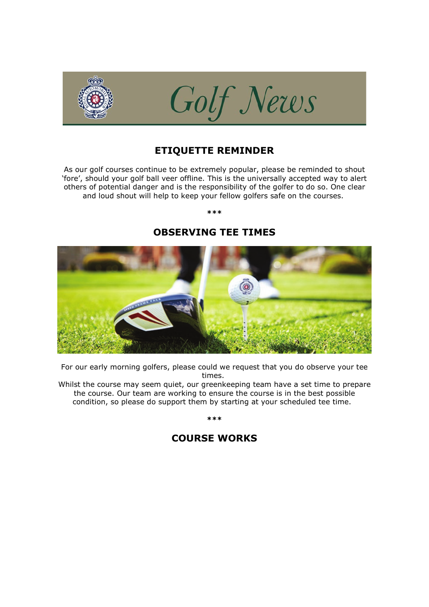

## **ETIQUETTE REMINDER**

As our golf courses continue to be extremely popular, please be reminded to shout 'fore', should your golf ball veer offline. This is the universally accepted way to alert others of potential danger and is the responsibility of the golfer to do so. One clear and loud shout will help to keep your fellow golfers safe on the courses.

**\*\*\***

**OBSERVING TEE TIMES**



For our early morning golfers, please could we request that you do observe your tee times.

Whilst the course may seem quiet, our greenkeeping team have a set time to prepare the course. Our team are working to ensure the course is in the best possible condition, so please do support them by starting at your scheduled tee time.

#### **\*\*\***

## **COURSE WORKS**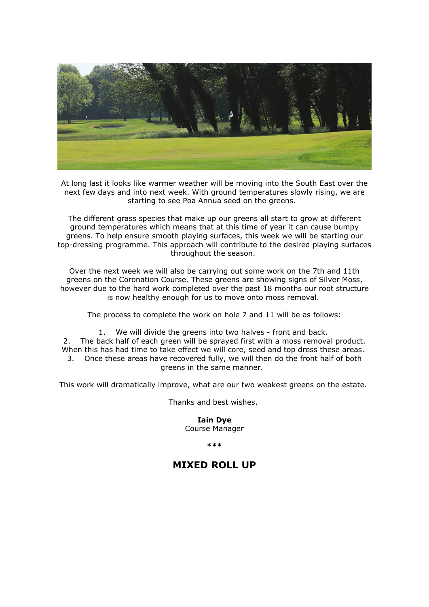

At long last it looks like warmer weather will be moving into the South East over the next few days and into next week. With ground temperatures slowly rising, we are starting to see Poa Annua seed on the greens.

The different grass species that make up our greens all start to grow at different ground temperatures which means that at this time of year it can cause bumpy greens. To help ensure smooth playing surfaces, this week we will be starting our top-dressing programme. This approach will contribute to the desired playing surfaces throughout the season.

Over the next week we will also be carrying out some work on the 7th and 11th greens on the Coronation Course. These greens are showing signs of Silver Moss, however due to the hard work completed over the past 18 months our root structure is now healthy enough for us to move onto moss removal.

The process to complete the work on hole 7 and 11 will be as follows:

1. We will divide the greens into two halves - front and back. 2. The back half of each green will be sprayed first with a moss removal product. When this has had time to take effect we will core, seed and top dress these areas. 3. Once these areas have recovered fully, we will then do the front half of both greens in the same manner.

This work will dramatically improve, what are our two weakest greens on the estate.

Thanks and best wishes.

**Iain Dye** Course Manager

**\*\*\***

## **MIXED ROLL UP**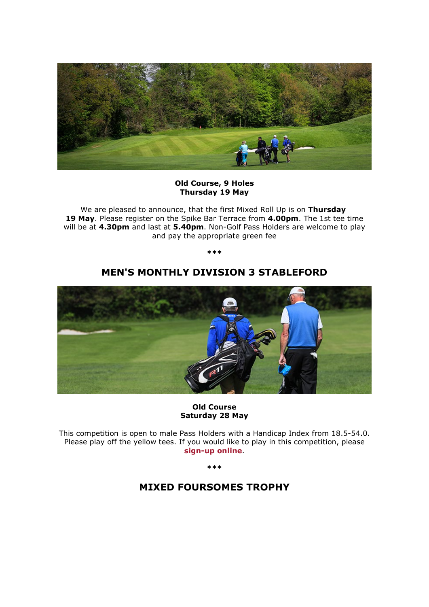

**Old Course, 9 Holes Thursday 19 May**

We are pleased to announce, that the first Mixed Roll Up is on **Thursday 19 May**. Please register on the Spike Bar Terrace from **4.00pm**. The 1st tee time will be at **4.30pm** and last at **5.40pm**. Non-Golf Pass Holders are welcome to play and pay the appropriate green fee

**\*\*\***

### **MEN'S MONTHLY DIVISION 3 STABLEFORD**



#### **Old Course Saturday 28 May**

This competition is open to male Pass Holders with a Handicap Index from 18.5-54.0. Please play off the yellow tees. If you would like to play in this competition, please **[sign-up online](http://click.email.royalautomobileclub.co.uk/?qs=13c1714d9ac6c3d6966b58fa5153fdbaf8250acf8c86ed1160dcdb56533eb29abed156ba9f86af709cbaff69c1d1091c75bf4b7e3fbe11b6)**.

**\*\*\***

## **MIXED FOURSOMES TROPHY**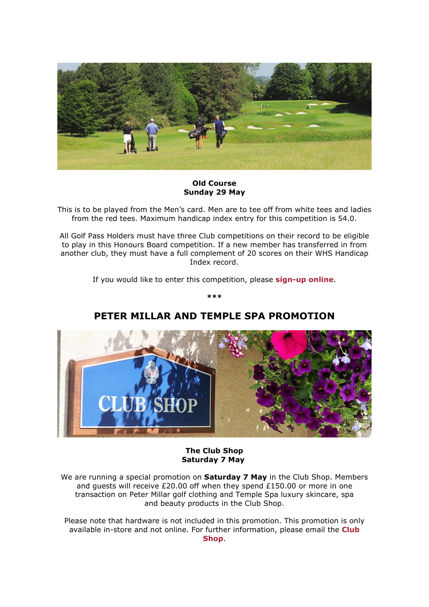

#### **Old Course Sunday 29 May**

This is to be played from the Men's card. Men are to tee off from white tees and ladies from the red tees. Maximum handicap index entry for this competition is 54.0.

All Golf Pass Holders must have three Club competitions on their record to be eligible to play in this Honours Board competition. If a new member has transferred in from another club, they must have a full complement of 20 scores on their WHS Handicap Index record.

If you would like to enter this competition, please **[sign-up online](http://click.email.royalautomobileclub.co.uk/?qs=13c1714d9ac6c3d6966b58fa5153fdbaf8250acf8c86ed1160dcdb56533eb29abed156ba9f86af709cbaff69c1d1091c75bf4b7e3fbe11b6)**.

**\*\*\***

# **PETER MILLAR AND TEMPLE SPA PROMOTION**

#### **The Club Shop Saturday 7 May**

We are running a special promotion on **Saturday 7 May** in the Club Shop. Members and guests will receive £20.00 off when they spend £150.00 or more in one transaction on Peter Millar golf clothing and Temple Spa luxury skincare, spa and beauty products in the Club Shop.

Please note that hardware is not included in this promotion. This promotion is only available in-store and not online. For further information, please email the **[Club](mailto:proshop@royalautomobileclub.co.uk?subject=Peter%20Millar%20Promotion%20and%20Spend%20%C2%A3150.00%20and%20Receive%20%C2%A320.00%20Off)  [Shop](mailto:proshop@royalautomobileclub.co.uk?subject=Peter%20Millar%20Promotion%20and%20Spend%20%C2%A3150.00%20and%20Receive%20%C2%A320.00%20Off)**.